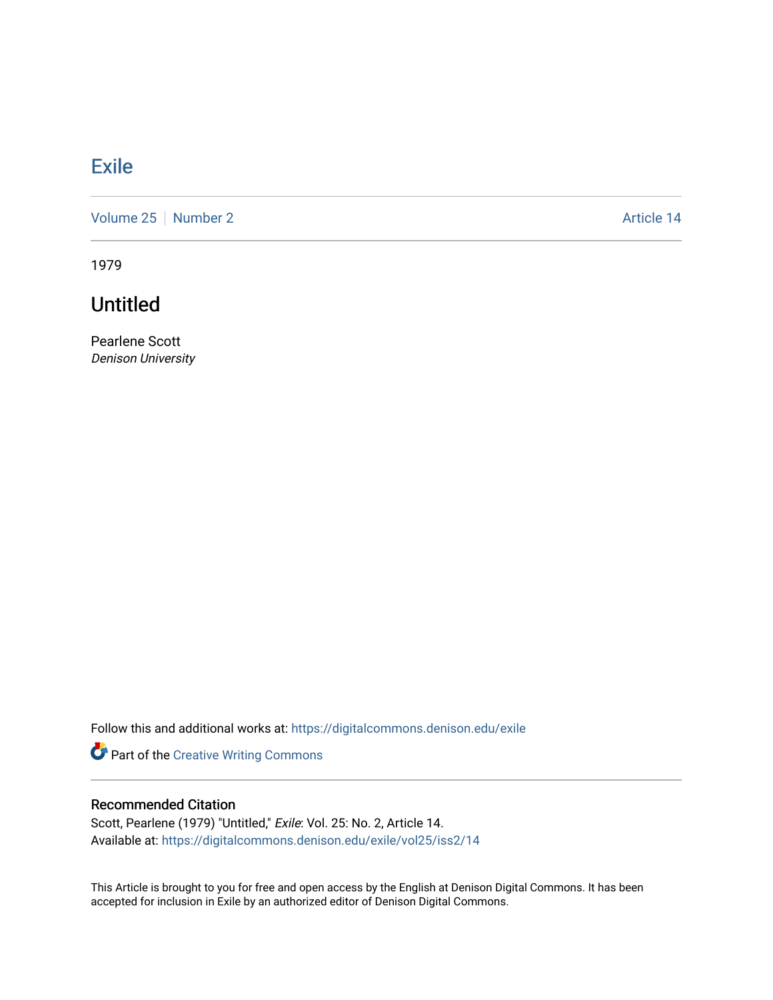## **[Exile](https://digitalcommons.denison.edu/exile)**

[Volume 25](https://digitalcommons.denison.edu/exile/vol25) [Number 2](https://digitalcommons.denison.edu/exile/vol25/iss2) Article 14

1979

Untitled

Pearlene Scott Denison University

Follow this and additional works at: [https://digitalcommons.denison.edu/exile](https://digitalcommons.denison.edu/exile?utm_source=digitalcommons.denison.edu%2Fexile%2Fvol25%2Fiss2%2F14&utm_medium=PDF&utm_campaign=PDFCoverPages) 

Part of the [Creative Writing Commons](http://network.bepress.com/hgg/discipline/574?utm_source=digitalcommons.denison.edu%2Fexile%2Fvol25%2Fiss2%2F14&utm_medium=PDF&utm_campaign=PDFCoverPages) 

## Recommended Citation

Scott, Pearlene (1979) "Untitled," Exile: Vol. 25: No. 2, Article 14. Available at: [https://digitalcommons.denison.edu/exile/vol25/iss2/14](https://digitalcommons.denison.edu/exile/vol25/iss2/14?utm_source=digitalcommons.denison.edu%2Fexile%2Fvol25%2Fiss2%2F14&utm_medium=PDF&utm_campaign=PDFCoverPages)

This Article is brought to you for free and open access by the English at Denison Digital Commons. It has been accepted for inclusion in Exile by an authorized editor of Denison Digital Commons.